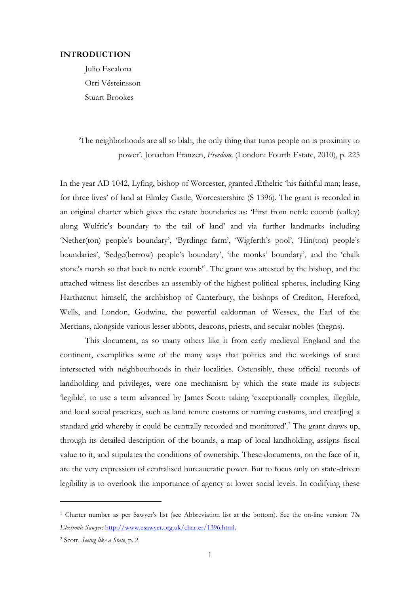## **INTRODUCTION**

Julio Escalona Orri Vésteinsson Stuart Brookes

# 'The neighborhoods are all so blah, the only thing that turns people on is proximity to power'. Jonathan Franzen, *Freedom,* (London: Fourth Estate, 2010), p. 225

In the year AD 1042, Lyfing, bishop of Worcester, granted Æthelric 'his faithful man; lease, for three lives' of land at Elmley Castle, Worcestershire (S 1396). The grant is recorded in an original charter which gives the estate boundaries as: 'First from nettle coomb (valley) along Wulfric's boundary to the tail of land' and via further landmarks including 'Nether(ton) people's boundary', 'Byrdingc farm', 'Wigferth's pool', 'Hin(ton) people's boundaries', 'Sedge(berrow) people's boundary', 'the monks' boundary', and the 'chalk stone's marsh so that back to nettle coomb<sup>21</sup>. The grant was attested by the bishop, and the attached witness list describes an assembly of the highest political spheres, including King Harthacnut himself, the archbishop of Canterbury, the bishops of Crediton, Hereford, Wells, and London, Godwine, the powerful ealdorman of Wessex, the Earl of the Mercians, alongside various lesser abbots, deacons, priests, and secular nobles (thegns).

This document, as so many others like it from early medieval England and the continent, exemplifies some of the many ways that polities and the workings of state intersected with neighbourhoods in their localities. Ostensibly, these official records of landholding and privileges, were one mechanism by which the state made its subjects 'legible', to use a term advanced by James Scott: taking 'exceptionally complex, illegible, and local social practices, such as land tenure customs or naming customs, and creat[ing] a standard grid whereby it could be centrally recorded and monitored'.<sup>2</sup> The grant draws up, through its detailed description of the bounds, a map of local landholding, assigns fiscal value to it, and stipulates the conditions of ownership. These documents, on the face of it, are the very expression of centralised bureaucratic power. But to focus only on state-driven legibility is to overlook the importance of agency at lower social levels. In codifying these

-

<sup>1</sup> Charter number as per Sawyer's list (see Abbreviation list at the bottom). See the on-line version: *The Electronic Sawyer*: [http://www.esawyer.org.uk/charter/1396.html.](http://www.esawyer.org.uk/charter/1396.html)

<sup>2</sup> Scott, *Seeing like a State*, p. 2.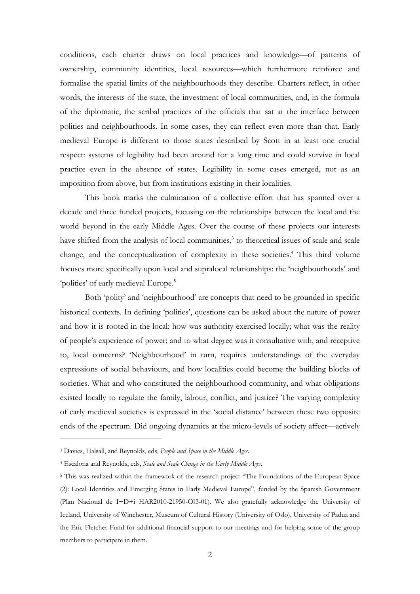conditions, each charter draws on local practices and knowledge—of patterns of ownership, community identities, local resources—which furthermore reinforce and formalise the spatial limits of the neighbourhoods they describe. Charters reflect, in other words, the interests of the state, the investment of local communities, and, in the formula of the diplomatic, the scribal practices of the officials that sat at the interface between polities and neighbourhoods. In some cases, they can reflect even more than that. Early medieval Europe is different to those states described by Scott in at least one crucial respect: systems of legibility had been around for a long time and could survive in local practice even in the absence of states. Legibility in some cases emerged, not as an imposition from above, but from institutions existing in their localities.

This book marks the culmination of a collective effort that has spanned over a decade and three funded projects, focusing on the relationships between the local and the world beyond in the early Middle Ages. Over the course of these projects our interests have shifted from the analysis of local communities,<sup>3</sup> to theoretical issues of scale and scale change, and the conceptualization of complexity in these societies.<sup>4</sup> This third volume focuses more specifically upon local and supralocal relationships: the 'neighbourhoods' and 'polities' of early medieval Europe.<sup>5</sup>

Both 'polity' and 'neighbourhood' are concepts that need to be grounded in specific historical contexts. In defining 'polities', questions can be asked about the nature of power and how it is rooted in the local: how was authority exercised locally; what was the reality of people's experience of power; and to what degree was it consultative with, and receptive to, local concerns? 'Neighbourhood' in turn, requires understandings of the everyday expressions of social behaviours, and how localities could become the building blocks of societies. What and who constituted the neighbourhood community, and what obligations existed locally to regulate the family, labour, conflict, and justice? The varying complexity of early medieval societies is expressed in the 'social distance' between these two opposite ends of the spectrum. Did ongoing dynamics at the micro-levels of society affect—actively

<u>.</u>

<sup>3</sup> Davies, Halsall, and Reynolds, eds, *People and Space in the Middle Ages*.

<sup>4</sup> Escalona and Reynolds, eds, *Scale and Scale Change in the Early Middle Ages*.

<sup>5</sup> This was realized within the framework of the research project "The Foundations of the European Space (2): Local Identities and Emerging States in Early Medieval Europe", funded by the Spanish Government (Plan Nacional de I+D+i HAR2010-21950-C03-01). We also gratefully acknowledge the University of Iceland, University of Winchester, Museum of Cultural History (University of Oslo), University of Padua and the Eric Fletcher Fund for additional financial support to our meetings and for helping some of the group members to participate in them.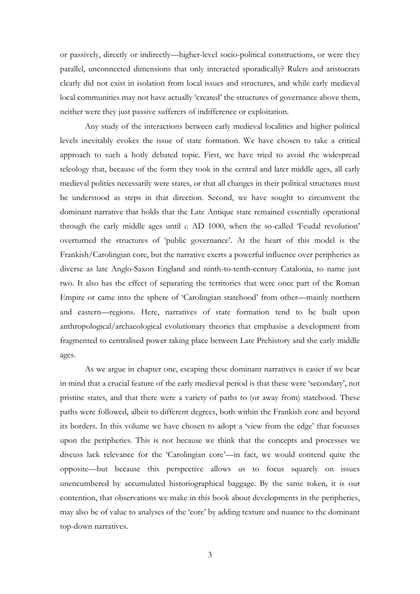or passively, directly or indirectly—higher-level socio-political constructions, or were they parallel, unconnected dimensions that only interacted sporadically? Rulers and aristocrats clearly did not exist in isolation from local issues and structures, and while early medieval local communities may not have actually 'created' the structures of governance above them, neither were they just passive sufferers of indifference or exploitation.

Any study of the interactions between early medieval localities and higher political levels inevitably evokes the issue of state formation. We have chosen to take a critical approach to such a hotly debated topic. First, we have tried to avoid the widespread teleology that, because of the form they took in the central and later middle ages, all early medieval polities necessarily were states, or that all changes in their political structures must be understood as steps in that direction. Second, we have sought to circumvent the dominant narrative that holds that the Late Antique state remained essentially operational through the early middle ages until *c*. AD 1000, when the so-called 'Feudal revolution' overturned the structures of 'public governance'. At the heart of this model is the Frankish/Carolingian core, but the narrative exerts a powerful influence over peripheries as diverse as late Anglo-Saxon England and ninth-to-tenth-century Catalonia, to name just two. It also has the effect of separating the territories that were once part of the Roman Empire or came into the sphere of 'Carolingian statehood' from other––mainly northern and eastern––regions. Here, narratives of state formation tend to be built upon anthropological/archaeological evolutionary theories that emphasise a development from fragmented to centralised power taking place between Late Prehistory and the early middle ages.

As we argue in chapter one, escaping these dominant narratives is easier if we bear in mind that a crucial feature of the early medieval period is that these were 'secondary', not pristine states, and that there were a variety of paths to (or away from) statehood. These paths were followed, albeit to different degrees, both within the Frankish core and beyond its borders. In this volume we have chosen to adopt a 'view from the edge' that focusses upon the peripheries. This is not because we think that the concepts and processes we discuss lack relevance for the 'Carolingian core'—in fact, we would contend quite the opposite––but because this perspective allows us to focus squarely on issues unencumbered by accumulated historiographical baggage. By the same token, it is our contention, that observations we make in this book about developments in the peripheries, may also be of value to analyses of the 'core' by adding texture and nuance to the dominant top-down narratives.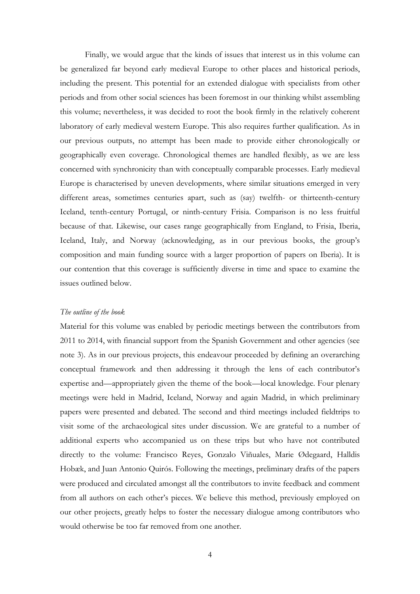Finally, we would argue that the kinds of issues that interest us in this volume can be generalized far beyond early medieval Europe to other places and historical periods, including the present. This potential for an extended dialogue with specialists from other periods and from other social sciences has been foremost in our thinking whilst assembling this volume; nevertheless, it was decided to root the book firmly in the relatively coherent laboratory of early medieval western Europe. This also requires further qualification. As in our previous outputs, no attempt has been made to provide either chronologically or geographically even coverage. Chronological themes are handled flexibly, as we are less concerned with synchronicity than with conceptually comparable processes. Early medieval Europe is characterised by uneven developments, where similar situations emerged in very different areas, sometimes centuries apart, such as (say) twelfth- or thirteenth-century Iceland, tenth-century Portugal, or ninth-century Frisia. Comparison is no less fruitful because of that. Likewise, our cases range geographically from England, to Frisia, Iberia, Iceland, Italy, and Norway (acknowledging, as in our previous books, the group's composition and main funding source with a larger proportion of papers on Iberia). It is our contention that this coverage is sufficiently diverse in time and space to examine the issues outlined below.

## *The outline of the book*

Material for this volume was enabled by periodic meetings between the contributors from 2011 to 2014, with financial support from the Spanish Government and other agencies (see note 3). As in our previous projects, this endeavour proceeded by defining an overarching conceptual framework and then addressing it through the lens of each contributor's expertise and—appropriately given the theme of the book—local knowledge. Four plenary meetings were held in Madrid, Iceland, Norway and again Madrid, in which preliminary papers were presented and debated. The second and third meetings included fieldtrips to visit some of the archaeological sites under discussion. We are grateful to a number of additional experts who accompanied us on these trips but who have not contributed directly to the volume: Francisco Reyes, Gonzalo Viñuales, Marie Ødegaard, Halldis Hobæk, and Juan Antonio Quirós. Following the meetings, preliminary drafts of the papers were produced and circulated amongst all the contributors to invite feedback and comment from all authors on each other's pieces. We believe this method, previously employed on our other projects, greatly helps to foster the necessary dialogue among contributors who would otherwise be too far removed from one another.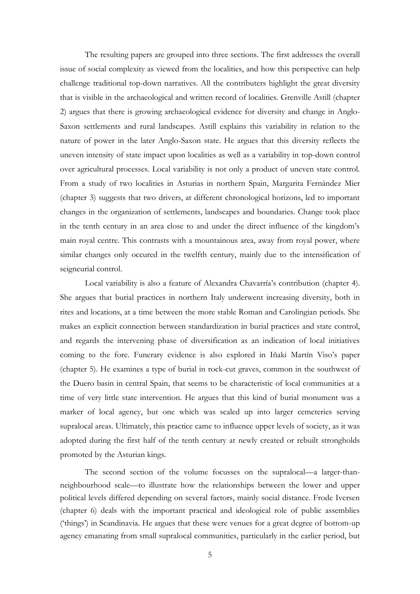The resulting papers are grouped into three sections. The first addresses the overall issue of social complexity as viewed from the localities, and how this perspective can help challenge traditional top-down narratives. All the contributers highlight the great diversity that is visible in the archaeological and written record of localities. Grenville Astill (chapter 2) argues that there is growing archaeological evidence for diversity and change in Anglo-Saxon settlements and rural landscapes. Astill explains this variability in relation to the nature of power in the later Anglo-Saxon state. He argues that this diversity reflects the uneven intensity of state impact upon localities as well as a variability in top-down control over agricultural processes. Local variability is not only a product of uneven state control. From a study of two localities in Asturias in northern Spain, Margarita Fernández Mier (chapter 3) suggests that two drivers, at different chronological horizons, led to important changes in the organization of settlements, landscapes and boundaries. Change took place in the tenth century in an area close to and under the direct influence of the kingdom's main royal centre. This contrasts with a mountainous area, away from royal power, where similar changes only occured in the twelfth century, mainly due to the intensification of seigneurial control.

Local variability is also a feature of Alexandra Chavarría's contribution (chapter 4). She argues that burial practices in northern Italy underwent increasing diversity, both in rites and locations, at a time between the more stable Roman and Carolingian periods. She makes an explicit connection between standardization in burial practices and state control, and regards the intervening phase of diversification as an indication of local initiatives coming to the fore. Funerary evidence is also explored in Iñaki Martín Viso's paper (chapter 5). He examines a type of burial in rock-cut graves, common in the southwest of the Duero basin in central Spain, that seems to be characteristic of local communities at a time of very little state intervention. He argues that this kind of burial monument was a marker of local agency, but one which was scaled up into larger cemeteries serving supralocal areas. Ultimately, this practice came to influence upper levels of society, as it was adopted during the first half of the tenth century at newly created or rebuilt strongholds promoted by the Asturian kings.

The second section of the volume focusses on the supralocal—a larger-thanneighbourhood scale—to illustrate how the relationships between the lower and upper political levels differed depending on several factors, mainly social distance. Frode Iversen (chapter 6) deals with the important practical and ideological role of public assemblies ('things') in Scandinavia. He argues that these were venues for a great degree of bottom-up agency emanating from small supralocal communities, particularly in the earlier period, but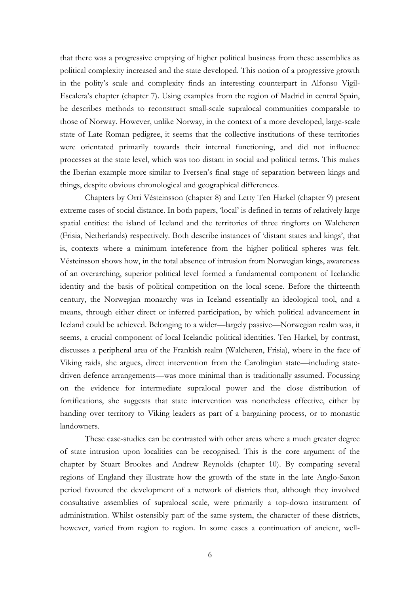that there was a progressive emptying of higher political business from these assemblies as political complexity increased and the state developed. This notion of a progressive growth in the polity's scale and complexity finds an interesting counterpart in Alfonso Vigil-Escalera's chapter (chapter 7). Using examples from the region of Madrid in central Spain, he describes methods to reconstruct small-scale supralocal communities comparable to those of Norway. However, unlike Norway, in the context of a more developed, large-scale state of Late Roman pedigree, it seems that the collective institutions of these territories were orientated primarily towards their internal functioning, and did not influence processes at the state level, which was too distant in social and political terms. This makes the Iberian example more similar to Iversen's final stage of separation between kings and things, despite obvious chronological and geographical differences.

Chapters by Orri Vésteinsson (chapter 8) and Letty Ten Harkel (chapter 9) present extreme cases of social distance. In both papers, 'local' is defined in terms of relatively large spatial entities: the island of Iceland and the territories of three ringforts on Walcheren (Frisia, Netherlands) respectively. Both describe instances of 'distant states and kings', that is, contexts where a minimum inteference from the higher political spheres was felt. Vésteinsson shows how, in the total absence of intrusion from Norwegian kings, awareness of an overarching, superior political level formed a fundamental component of Icelandic identity and the basis of political competition on the local scene. Before the thirteenth century, the Norwegian monarchy was in Iceland essentially an ideological tool, and a means, through either direct or inferred participation, by which political advancement in Iceland could be achieved. Belonging to a wider—largely passive—Norwegian realm was, it seems, a crucial component of local Icelandic political identities. Ten Harkel, by contrast, discusses a peripheral area of the Frankish realm (Walcheren, Frisia), where in the face of Viking raids, she argues, direct intervention from the Carolingian state—including statedriven defence arrangements—was more minimal than is traditionally assumed. Focussing on the evidence for intermediate supralocal power and the close distribution of fortifications, she suggests that state intervention was nonetheless effective, either by handing over territory to Viking leaders as part of a bargaining process, or to monastic landowners.

These case-studies can be contrasted with other areas where a much greater degree of state intrusion upon localities can be recognised. This is the core argument of the chapter by Stuart Brookes and Andrew Reynolds (chapter 10). By comparing several regions of England they illustrate how the growth of the state in the late Anglo-Saxon period favoured the development of a network of districts that, although they involved consultative assemblies of supralocal scale, were primarily a top-down instrument of administration. Whilst ostensibly part of the same system, the character of these districts, however, varied from region to region. In some cases a continuation of ancient, well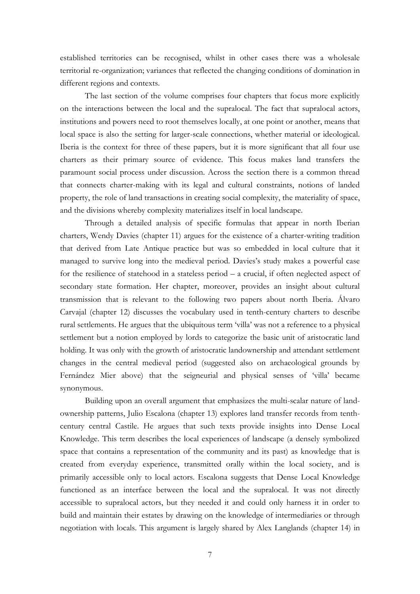established territories can be recognised, whilst in other cases there was a wholesale territorial re-organization; variances that reflected the changing conditions of domination in different regions and contexts.

The last section of the volume comprises four chapters that focus more explicitly on the interactions between the local and the supralocal. The fact that supralocal actors, institutions and powers need to root themselves locally, at one point or another, means that local space is also the setting for larger-scale connections, whether material or ideological. Iberia is the context for three of these papers, but it is more significant that all four use charters as their primary source of evidence. This focus makes land transfers the paramount social process under discussion. Across the section there is a common thread that connects charter-making with its legal and cultural constraints, notions of landed property, the role of land transactions in creating social complexity, the materiality of space, and the divisions whereby complexity materializes itself in local landscape.

Through a detailed analysis of specific formulas that appear in north Iberian charters, Wendy Davies (chapter 11) argues for the existence of a charter-writing tradition that derived from Late Antique practice but was so embedded in local culture that it managed to survive long into the medieval period. Davies's study makes a powerful case for the resilience of statehood in a stateless period – a crucial, if often neglected aspect of secondary state formation. Her chapter, moreover, provides an insight about cultural transmission that is relevant to the following two papers about north Iberia. Álvaro Carvajal (chapter 12) discusses the vocabulary used in tenth-century charters to describe rural settlements. He argues that the ubiquitous term 'villa' was not a reference to a physical settlement but a notion employed by lords to categorize the basic unit of aristocratic land holding. It was only with the growth of aristocratic landownership and attendant settlement changes in the central medieval period (suggested also on archaeological grounds by Fernández Mier above) that the seigneurial and physical senses of 'villa' became synonymous.

Building upon an overall argument that emphasizes the multi-scalar nature of landownership patterns, Julio Escalona (chapter 13) explores land transfer records from tenthcentury central Castile. He argues that such texts provide insights into Dense Local Knowledge. This term describes the local experiences of landscape (a densely symbolized space that contains a representation of the community and its past) as knowledge that is created from everyday experience, transmitted orally within the local society, and is primarily accessible only to local actors. Escalona suggests that Dense Local Knowledge functioned as an interface between the local and the supralocal. It was not directly accessible to supralocal actors, but they needed it and could only harness it in order to build and maintain their estates by drawing on the knowledge of intermediaries or through negotiation with locals. This argument is largely shared by Alex Langlands (chapter 14) in